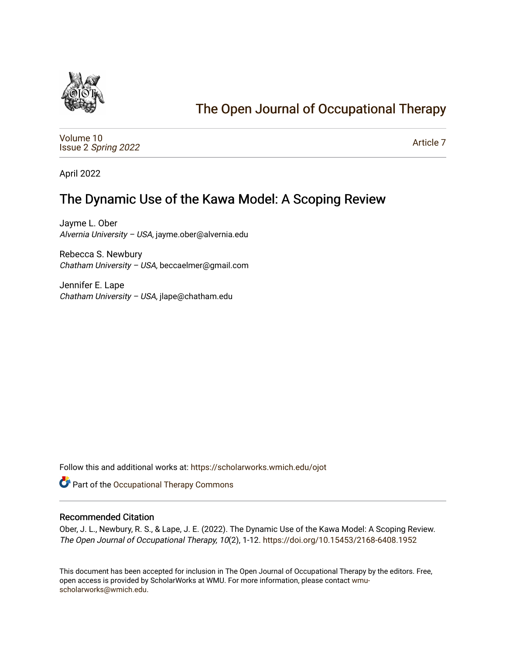

# [The Open Journal of Occupational Therapy](https://scholarworks.wmich.edu/ojot)

[Volume 10](https://scholarworks.wmich.edu/ojot/vol10) Issue 2 [Spring 2022](https://scholarworks.wmich.edu/ojot/vol10/iss2) 

[Article 7](https://scholarworks.wmich.edu/ojot/vol10/iss2/7) 

April 2022

# The Dynamic Use of the Kawa Model: A Scoping Review

Jayme L. Ober Alvernia University – USA, jayme.ober@alvernia.edu

Rebecca S. Newbury Chatham University – USA, beccaelmer@gmail.com

Jennifer E. Lape Chatham University – USA, jlape@chatham.edu

Follow this and additional works at: [https://scholarworks.wmich.edu/ojot](https://scholarworks.wmich.edu/ojot?utm_source=scholarworks.wmich.edu%2Fojot%2Fvol10%2Fiss2%2F7&utm_medium=PDF&utm_campaign=PDFCoverPages)

Part of the [Occupational Therapy Commons](http://network.bepress.com/hgg/discipline/752?utm_source=scholarworks.wmich.edu%2Fojot%2Fvol10%2Fiss2%2F7&utm_medium=PDF&utm_campaign=PDFCoverPages) 

### Recommended Citation

Ober, J. L., Newbury, R. S., & Lape, J. E. (2022). The Dynamic Use of the Kawa Model: A Scoping Review. The Open Journal of Occupational Therapy, 10(2), 1-12.<https://doi.org/10.15453/2168-6408.1952>

This document has been accepted for inclusion in The Open Journal of Occupational Therapy by the editors. Free, open access is provided by ScholarWorks at WMU. For more information, please contact [wmu](mailto:wmu-scholarworks@wmich.edu)[scholarworks@wmich.edu.](mailto:wmu-scholarworks@wmich.edu)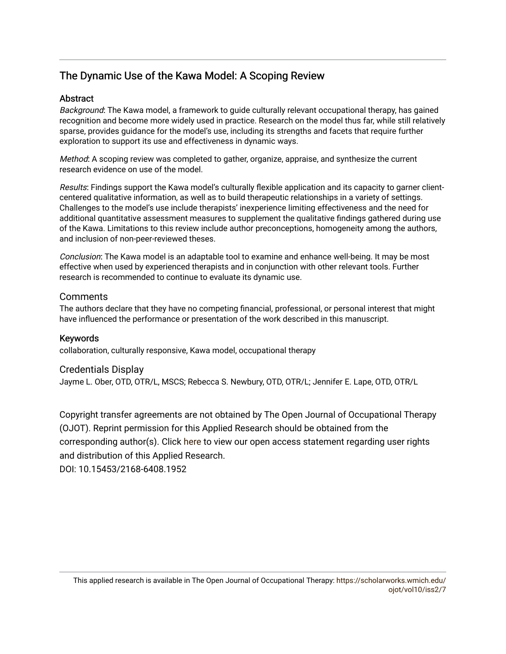# The Dynamic Use of the Kawa Model: A Scoping Review

## **Abstract**

Background: The Kawa model, a framework to guide culturally relevant occupational therapy, has gained recognition and become more widely used in practice. Research on the model thus far, while still relatively sparse, provides guidance for the model's use, including its strengths and facets that require further exploration to support its use and effectiveness in dynamic ways.

Method: A scoping review was completed to gather, organize, appraise, and synthesize the current research evidence on use of the model.

Results: Findings support the Kawa model's culturally flexible application and its capacity to garner clientcentered qualitative information, as well as to build therapeutic relationships in a variety of settings. Challenges to the model's use include therapists' inexperience limiting effectiveness and the need for additional quantitative assessment measures to supplement the qualitative findings gathered during use of the Kawa. Limitations to this review include author preconceptions, homogeneity among the authors, and inclusion of non-peer-reviewed theses.

Conclusion: The Kawa model is an adaptable tool to examine and enhance well-being. It may be most effective when used by experienced therapists and in conjunction with other relevant tools. Further research is recommended to continue to evaluate its dynamic use.

## **Comments**

The authors declare that they have no competing financial, professional, or personal interest that might have influenced the performance or presentation of the work described in this manuscript.

Keywords collaboration, culturally responsive, Kawa model, occupational therapy

# Credentials Display

Jayme L. Ober, OTD, OTR/L, MSCS; Rebecca S. Newbury, OTD, OTR/L; Jennifer E. Lape, OTD, OTR/L

Copyright transfer agreements are not obtained by The Open Journal of Occupational Therapy (OJOT). Reprint permission for this Applied Research should be obtained from the corresponding author(s). Click [here](https://scholarworks.wmich.edu/ojot/policies.html#rights) to view our open access statement regarding user rights and distribution of this Applied Research.

DOI: 10.15453/2168-6408.1952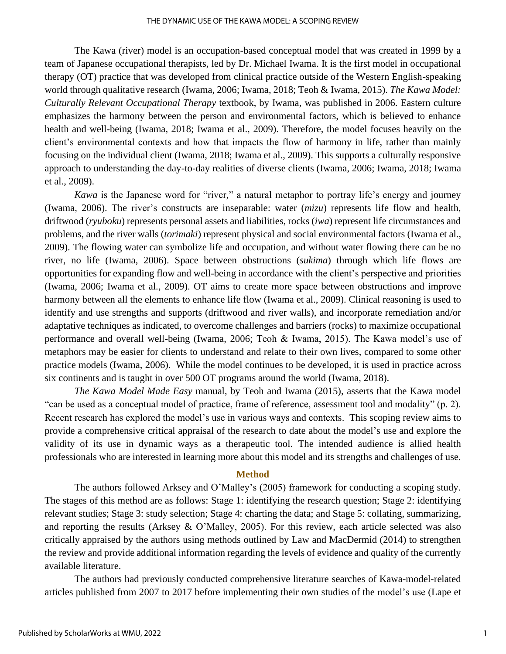#### THE DYNAMIC USE OF THE KAWA MODEL: A SCOPING REVIEW

The Kawa (river) model is an occupation-based conceptual model that was created in 1999 by a team of Japanese occupational therapists, led by Dr. Michael Iwama. It is the first model in occupational therapy (OT) practice that was developed from clinical practice outside of the Western English-speaking world through qualitative research (Iwama, 2006; Iwama, 2018; Teoh & Iwama, 2015). *The Kawa Model: Culturally Relevant Occupational Therapy* textbook, by Iwama, was published in 2006. Eastern culture emphasizes the harmony between the person and environmental factors, which is believed to enhance health and well-being (Iwama, 2018; Iwama et al., 2009). Therefore, the model focuses heavily on the client's environmental contexts and how that impacts the flow of harmony in life, rather than mainly focusing on the individual client (Iwama, 2018; Iwama et al., 2009). This supports a culturally responsive approach to understanding the day-to-day realities of diverse clients (Iwama, 2006; Iwama, 2018; Iwama et al., 2009).

*Kawa* is the Japanese word for "river," a natural metaphor to portray life's energy and journey (Iwama, 2006). The river's constructs are inseparable: water (*mizu*) represents life flow and health, driftwood (*ryuboku*) represents personal assets and liabilities, rocks (*iwa*) represent life circumstances and problems, and the river walls (*torimaki*) represent physical and social environmental factors (Iwama et al., 2009). The flowing water can symbolize life and occupation, and without water flowing there can be no river, no life (Iwama, 2006). Space between obstructions (*sukima*) through which life flows are opportunities for expanding flow and well-being in accordance with the client's perspective and priorities (Iwama, 2006; Iwama et al., 2009). OT aims to create more space between obstructions and improve harmony between all the elements to enhance life flow (Iwama et al., 2009). Clinical reasoning is used to identify and use strengths and supports (driftwood and river walls), and incorporate remediation and/or adaptative techniques as indicated, to overcome challenges and barriers (rocks) to maximize occupational performance and overall well-being (Iwama, 2006; Teoh & Iwama, 2015). The Kawa model's use of metaphors may be easier for clients to understand and relate to their own lives, compared to some other practice models (Iwama, 2006). While the model continues to be developed, it is used in practice across six continents and is taught in over 500 OT programs around the world (Iwama, 2018).

*The Kawa Model Made Easy* manual, by Teoh and Iwama (2015), asserts that the Kawa model "can be used as a conceptual model of practice, frame of reference, assessment tool and modality" (p. 2). Recent research has explored the model's use in various ways and contexts. This scoping review aims to provide a comprehensive critical appraisal of the research to date about the model's use and explore the validity of its use in dynamic ways as a therapeutic tool. The intended audience is allied health professionals who are interested in learning more about this model and its strengths and challenges of use.

#### **Method**

The authors followed Arksey and O'Malley's (2005) framework for conducting a scoping study. The stages of this method are as follows: Stage 1: identifying the research question; Stage 2: identifying relevant studies; Stage 3: study selection; Stage 4: charting the data; and Stage 5: collating, summarizing, and reporting the results (Arksey & O'Malley, 2005). For this review, each article selected was also critically appraised by the authors using methods outlined by Law and MacDermid (2014) to strengthen the review and provide additional information regarding the levels of evidence and quality of the currently available literature.

The authors had previously conducted comprehensive literature searches of Kawa-model-related articles published from 2007 to 2017 before implementing their own studies of the model's use (Lape et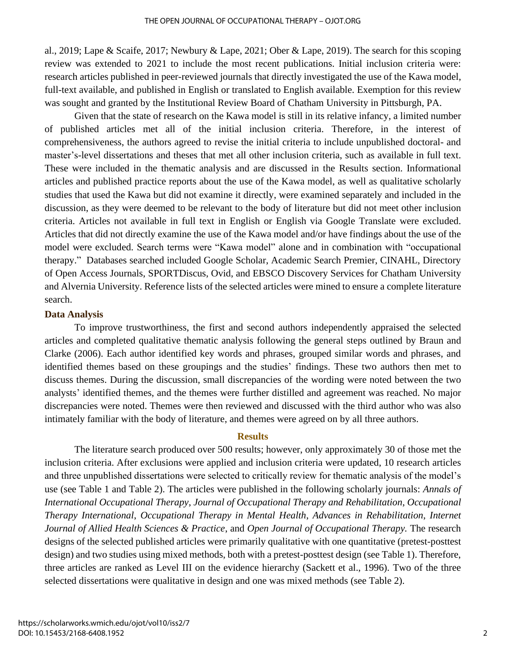al., 2019; Lape & Scaife, 2017; Newbury & Lape, 2021; Ober & Lape, 2019). The search for this scoping review was extended to 2021 to include the most recent publications. Initial inclusion criteria were: research articles published in peer-reviewed journals that directly investigated the use of the Kawa model, full-text available, and published in English or translated to English available. Exemption for this review was sought and granted by the Institutional Review Board of Chatham University in Pittsburgh, PA.

Given that the state of research on the Kawa model is still in its relative infancy, a limited number of published articles met all of the initial inclusion criteria. Therefore, in the interest of comprehensiveness, the authors agreed to revise the initial criteria to include unpublished doctoral- and master's-level dissertations and theses that met all other inclusion criteria, such as available in full text. These were included in the thematic analysis and are discussed in the Results section. Informational articles and published practice reports about the use of the Kawa model, as well as qualitative scholarly studies that used the Kawa but did not examine it directly, were examined separately and included in the discussion, as they were deemed to be relevant to the body of literature but did not meet other inclusion criteria. Articles not available in full text in English or English via Google Translate were excluded. Articles that did not directly examine the use of the Kawa model and/or have findings about the use of the model were excluded. Search terms were "Kawa model" alone and in combination with "occupational therapy." Databases searched included Google Scholar, Academic Search Premier, CINAHL, Directory of Open Access Journals, SPORTDiscus, Ovid, and EBSCO Discovery Services for Chatham University and Alvernia University. Reference lists of the selected articles were mined to ensure a complete literature search.

### **Data Analysis**

To improve trustworthiness, the first and second authors independently appraised the selected articles and completed qualitative thematic analysis following the general steps outlined by Braun and Clarke (2006). Each author identified key words and phrases, grouped similar words and phrases, and identified themes based on these groupings and the studies' findings. These two authors then met to discuss themes. During the discussion, small discrepancies of the wording were noted between the two analysts' identified themes, and the themes were further distilled and agreement was reached. No major discrepancies were noted. Themes were then reviewed and discussed with the third author who was also intimately familiar with the body of literature, and themes were agreed on by all three authors.

### **Results**

The literature search produced over 500 results; however, only approximately 30 of those met the inclusion criteria. After exclusions were applied and inclusion criteria were updated, 10 research articles and three unpublished dissertations were selected to critically review for thematic analysis of the model's use (see Table 1 and Table 2). The articles were published in the following scholarly journals: *Annals of International Occupational Therapy*, *Journal of Occupational Therapy and Rehabilitation*, *Occupational Therapy International*, *Occupational Therapy in Mental Health*, *Advances in Rehabilitation*, *Internet Journal of Allied Health Sciences & Practice*, and *Open Journal of Occupational Therapy.* The research designs of the selected published articles were primarily qualitative with one quantitative (pretest-posttest design) and two studies using mixed methods, both with a pretest-posttest design (see Table 1). Therefore, three articles are ranked as Level III on the evidence hierarchy (Sackett et al., 1996). Two of the three selected dissertations were qualitative in design and one was mixed methods (see Table 2).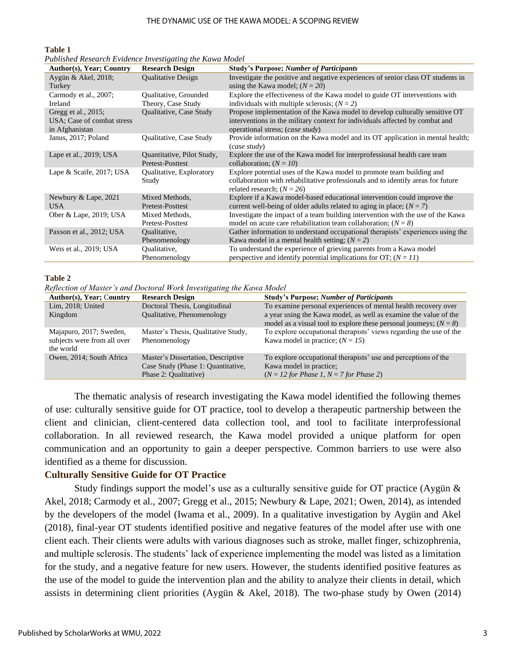#### THE DYNAMIC USE OF THE KAWA MODEL: A SCOPING REVIEW

#### **Table 1**

| Published Research Evidence Investigating the Kawa Model |  |  |  |
|----------------------------------------------------------|--|--|--|
|----------------------------------------------------------|--|--|--|

| <b>Author(s), Year; Country</b>                                     | <b>Research Design</b>                         | <b>Study's Purpose; Number of Participants</b>                                                                                                                                                  |
|---------------------------------------------------------------------|------------------------------------------------|-------------------------------------------------------------------------------------------------------------------------------------------------------------------------------------------------|
| Aygün & Akel, 2018;<br>Turkey                                       | <b>Oualitative Design</b>                      | Investigate the positive and negative experiences of senior class OT students in<br>using the Kawa model; $(N = 20)$                                                                            |
| Carmody et al., 2007;<br>Ireland                                    | Qualitative, Grounded<br>Theory, Case Study    | Explore the effectiveness of the Kawa model to guide OT interventions with<br>individuals with multiple sclerosis; $(N = 2)$                                                                    |
| Gregg et al., 2015;<br>USA; Case of combat stress<br>in Afghanistan | Qualitative, Case Study                        | Propose implementation of the Kawa model to develop culturally sensitive OT<br>interventions in the military context for individuals affected by combat and<br>operational stress; (case study) |
| Janus, 2017; Poland                                                 | Qualitative, Case Study                        | Provide information on the Kawa model and its OT application in mental health;<br>(case study)                                                                                                  |
| Lape et al., 2019; USA                                              | Quantitative, Pilot Study,<br>Pretest-Posttest | Explore the use of the Kawa model for interprofessional health care team<br>collaboration; $(N = 10)$                                                                                           |
| Lape & Scaife, 2017; USA                                            | Qualitative, Exploratory<br>Study              | Explore potential uses of the Kawa model to promote team building and<br>collaboration with rehabilitative professionals and to identify areas for future<br>related research; $(N = 26)$       |
| Newbury & Lape, 2021<br><b>USA</b>                                  | Mixed Methods,<br>Pretest-Posttest             | Explore if a Kawa model-based educational intervention could improve the<br>current well-being of older adults related to aging in place; $(N = 7)$                                             |
| Ober & Lape, 2019; USA                                              | Mixed Methods,<br>Pretest-Posttest             | Investigate the impact of a team building intervention with the use of the Kawa<br>model on acute care rehabilitation team collaboration; $(N = 8)$                                             |
| Paxson et al., 2012; USA                                            | Oualitative,<br>Phenomenology                  | Gather information to understand occupational therapists' experiences using the<br>Kawa model in a mental health setting; $(N = 2)$                                                             |
| Weis et al., 2019; USA                                              | Qualitative,<br>Phenomenology                  | To understand the experience of grieving parents from a Kawa model<br>perspective and identify potential implications for OT; $(N = 11)$                                                        |

#### **Table 2**

*Reflection of Master's and Doctoral Work Investigating the Kawa Model*

| Author(s), Year; Country    | <b>Research Design</b>              | <b>Study's Purpose; Number of Participants</b>                       |
|-----------------------------|-------------------------------------|----------------------------------------------------------------------|
| Lim, 2018; United           | Doctoral Thesis, Longitudinal       | To examine personal experiences of mental health recovery over       |
| Kingdom                     | Qualitative, Phenomenology          | a year using the Kawa model, as well as examine the value of the     |
|                             |                                     | model as a visual tool to explore these personal journeys; $(N = 8)$ |
| Majapuro, 2017; Sweden,     | Master's Thesis, Qualitative Study, | To explore occupational therapists' views regarding the use of the   |
| subjects were from all over | Phenomenology                       | Kawa model in practice; $(N = 15)$                                   |
| the world                   |                                     |                                                                      |
| Owen, 2014; South Africa    | Master's Dissertation, Descriptive  | To explore occupational therapists' use and perceptions of the       |
|                             | Case Study (Phase 1: Quantitative,  | Kawa model in practice;                                              |
|                             | Phase 2: Qualitative)               | $(N = 12$ for Phase 1, $N = 7$ for Phase 2)                          |

The thematic analysis of research investigating the Kawa model identified the following themes of use: culturally sensitive guide for OT practice, tool to develop a therapeutic partnership between the client and clinician, client-centered data collection tool, and tool to facilitate interprofessional collaboration. In all reviewed research, the Kawa model provided a unique platform for open communication and an opportunity to gain a deeper perspective. Common barriers to use were also identified as a theme for discussion.

#### **Culturally Sensitive Guide for OT Practice**

Study findings support the model's use as a culturally sensitive guide for OT practice (Aygün & Akel, 2018; Carmody et al., 2007; Gregg et al., 2015; Newbury & Lape, 2021; Owen, 2014), as intended by the developers of the model (Iwama et al., 2009). In a qualitative investigation by Aygün and Akel (2018), final-year OT students identified positive and negative features of the model after use with one client each. Their clients were adults with various diagnoses such as stroke, mallet finger, schizophrenia, and multiple sclerosis. The students' lack of experience implementing the model was listed as a limitation for the study, and a negative feature for new users. However, the students identified positive features as the use of the model to guide the intervention plan and the ability to analyze their clients in detail, which assists in determining client priorities (Aygün & Akel, 2018). The two-phase study by Owen (2014)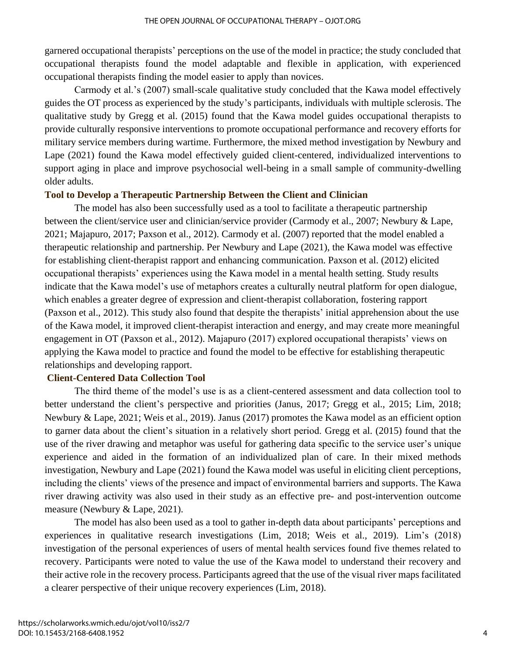garnered occupational therapists' perceptions on the use of the model in practice; the study concluded that occupational therapists found the model adaptable and flexible in application, with experienced occupational therapists finding the model easier to apply than novices.

Carmody et al.'s (2007) small-scale qualitative study concluded that the Kawa model effectively guides the OT process as experienced by the study's participants, individuals with multiple sclerosis. The qualitative study by Gregg et al. (2015) found that the Kawa model guides occupational therapists to provide culturally responsive interventions to promote occupational performance and recovery efforts for military service members during wartime. Furthermore, the mixed method investigation by Newbury and Lape (2021) found the Kawa model effectively guided client-centered, individualized interventions to support aging in place and improve psychosocial well-being in a small sample of community-dwelling older adults.

### **Tool to Develop a Therapeutic Partnership Between the Client and Clinician**

The model has also been successfully used as a tool to facilitate a therapeutic partnership between the client/service user and clinician/service provider (Carmody et al., 2007; Newbury & Lape, 2021; Majapuro, 2017; Paxson et al., 2012). Carmody et al. (2007) reported that the model enabled a therapeutic relationship and partnership. Per Newbury and Lape (2021), the Kawa model was effective for establishing client-therapist rapport and enhancing communication. Paxson et al. (2012) elicited occupational therapists' experiences using the Kawa model in a mental health setting. Study results indicate that the Kawa model's use of metaphors creates a culturally neutral platform for open dialogue, which enables a greater degree of expression and client-therapist collaboration, fostering rapport (Paxson et al., 2012). This study also found that despite the therapists' initial apprehension about the use of the Kawa model, it improved client-therapist interaction and energy, and may create more meaningful engagement in OT (Paxson et al., 2012). Majapuro (2017) explored occupational therapists' views on applying the Kawa model to practice and found the model to be effective for establishing therapeutic relationships and developing rapport.

# **Client-Centered Data Collection Tool**

The third theme of the model's use is as a client-centered assessment and data collection tool to better understand the client's perspective and priorities (Janus, 2017; Gregg et al., 2015; Lim, 2018; Newbury & Lape, 2021; Weis et al., 2019). Janus (2017) promotes the Kawa model as an efficient option to garner data about the client's situation in a relatively short period. Gregg et al. (2015) found that the use of the river drawing and metaphor was useful for gathering data specific to the service user's unique experience and aided in the formation of an individualized plan of care. In their mixed methods investigation, Newbury and Lape (2021) found the Kawa model was useful in eliciting client perceptions, including the clients' views of the presence and impact of environmental barriers and supports. The Kawa river drawing activity was also used in their study as an effective pre- and post-intervention outcome measure (Newbury & Lape, 2021).

The model has also been used as a tool to gather in-depth data about participants' perceptions and experiences in qualitative research investigations (Lim, 2018; Weis et al., 2019). Lim's (2018) investigation of the personal experiences of users of mental health services found five themes related to recovery. Participants were noted to value the use of the Kawa model to understand their recovery and their active role in the recovery process. Participants agreed that the use of the visual river maps facilitated a clearer perspective of their unique recovery experiences (Lim, 2018).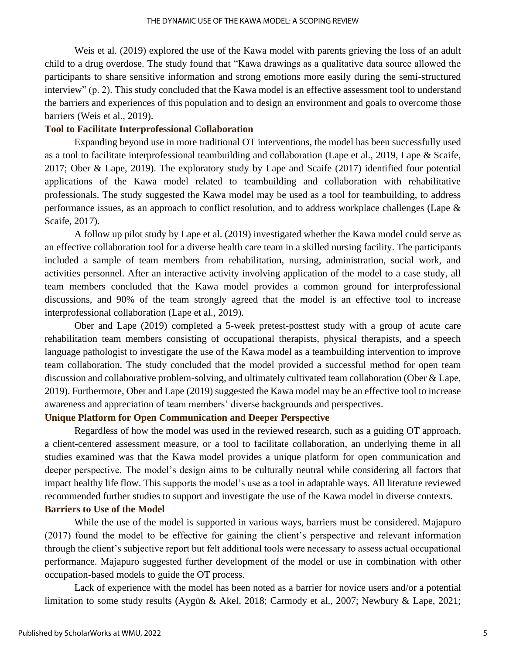Weis et al. (2019) explored the use of the Kawa model with parents grieving the loss of an adult child to a drug overdose. The study found that "Kawa drawings as a qualitative data source allowed the participants to share sensitive information and strong emotions more easily during the semi-structured interview" (p. 2). This study concluded that the Kawa model is an effective assessment tool to understand the barriers and experiences of this population and to design an environment and goals to overcome those barriers (Weis et al., 2019).

### **Tool to Facilitate Interprofessional Collaboration**

Expanding beyond use in more traditional OT interventions, the model has been successfully used as a tool to facilitate interprofessional teambuilding and collaboration (Lape et al., 2019, Lape & Scaife, 2017; Ober & Lape, 2019). The exploratory study by Lape and Scaife (2017) identified four potential applications of the Kawa model related to teambuilding and collaboration with rehabilitative professionals. The study suggested the Kawa model may be used as a tool for teambuilding, to address performance issues, as an approach to conflict resolution, and to address workplace challenges (Lape & Scaife, 2017).

A follow up pilot study by Lape et al. (2019) investigated whether the Kawa model could serve as an effective collaboration tool for a diverse health care team in a skilled nursing facility. The participants included a sample of team members from rehabilitation, nursing, administration, social work, and activities personnel. After an interactive activity involving application of the model to a case study, all team members concluded that the Kawa model provides a common ground for interprofessional discussions, and 90% of the team strongly agreed that the model is an effective tool to increase interprofessional collaboration (Lape et al., 2019).

Ober and Lape (2019) completed a 5-week pretest-posttest study with a group of acute care rehabilitation team members consisting of occupational therapists, physical therapists, and a speech language pathologist to investigate the use of the Kawa model as a teambuilding intervention to improve team collaboration. The study concluded that the model provided a successful method for open team discussion and collaborative problem-solving, and ultimately cultivated team collaboration (Ober & Lape, 2019). Furthermore, Ober and Lape (2019) suggested the Kawa model may be an effective tool to increase awareness and appreciation of team members' diverse backgrounds and perspectives.

### **Unique Platform for Open Communication and Deeper Perspective**

Regardless of how the model was used in the reviewed research, such as a guiding OT approach, a client-centered assessment measure, or a tool to facilitate collaboration, an underlying theme in all studies examined was that the Kawa model provides a unique platform for open communication and deeper perspective. The model's design aims to be culturally neutral while considering all factors that impact healthy life flow. This supports the model's use as a tool in adaptable ways. All literature reviewed recommended further studies to support and investigate the use of the Kawa model in diverse contexts. **Barriers to Use of the Model**

While the use of the model is supported in various ways, barriers must be considered. Majapuro (2017) found the model to be effective for gaining the client's perspective and relevant information through the client's subjective report but felt additional tools were necessary to assess actual occupational performance. Majapuro suggested further development of the model or use in combination with other occupation-based models to guide the OT process.

Lack of experience with the model has been noted as a barrier for novice users and/or a potential limitation to some study results (Aygün & Akel, 2018; Carmody et al., 2007; Newbury & Lape, 2021;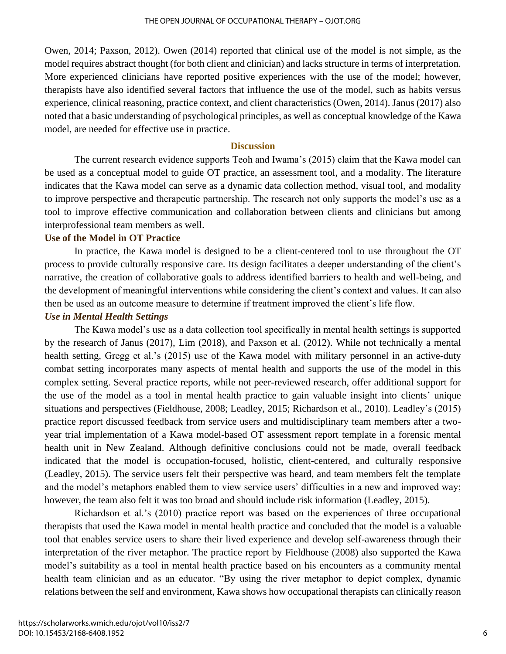Owen, 2014; Paxson, 2012). Owen (2014) reported that clinical use of the model is not simple, as the model requires abstract thought (for both client and clinician) and lacks structure in terms of interpretation. More experienced clinicians have reported positive experiences with the use of the model; however, therapists have also identified several factors that influence the use of the model, such as habits versus experience, clinical reasoning, practice context, and client characteristics (Owen, 2014). Janus (2017) also noted that a basic understanding of psychological principles, as well as conceptual knowledge of the Kawa model, are needed for effective use in practice.

## **Discussion**

The current research evidence supports Teoh and Iwama's (2015) claim that the Kawa model can be used as a conceptual model to guide OT practice, an assessment tool, and a modality. The literature indicates that the Kawa model can serve as a dynamic data collection method, visual tool, and modality to improve perspective and therapeutic partnership. The research not only supports the model's use as a tool to improve effective communication and collaboration between clients and clinicians but among interprofessional team members as well.

### **Use of the Model in OT Practice**

In practice, the Kawa model is designed to be a client-centered tool to use throughout the OT process to provide culturally responsive care. Its design facilitates a deeper understanding of the client's narrative, the creation of collaborative goals to address identified barriers to health and well-being, and the development of meaningful interventions while considering the client's context and values. It can also then be used as an outcome measure to determine if treatment improved the client's life flow.

## *Use in Mental Health Settings*

The Kawa model's use as a data collection tool specifically in mental health settings is supported by the research of Janus (2017), Lim (2018), and Paxson et al. (2012). While not technically a mental health setting, Gregg et al.'s (2015) use of the Kawa model with military personnel in an active-duty combat setting incorporates many aspects of mental health and supports the use of the model in this complex setting. Several practice reports, while not peer-reviewed research, offer additional support for the use of the model as a tool in mental health practice to gain valuable insight into clients' unique situations and perspectives (Fieldhouse, 2008; Leadley, 2015; Richardson et al., 2010). Leadley's (2015) practice report discussed feedback from service users and multidisciplinary team members after a twoyear trial implementation of a Kawa model-based OT assessment report template in a forensic mental health unit in New Zealand. Although definitive conclusions could not be made, overall feedback indicated that the model is occupation-focused, holistic, client-centered, and culturally responsive (Leadley, 2015). The service users felt their perspective was heard, and team members felt the template and the model's metaphors enabled them to view service users' difficulties in a new and improved way; however, the team also felt it was too broad and should include risk information (Leadley, 2015).

Richardson et al.'s (2010) practice report was based on the experiences of three occupational therapists that used the Kawa model in mental health practice and concluded that the model is a valuable tool that enables service users to share their lived experience and develop self-awareness through their interpretation of the river metaphor. The practice report by Fieldhouse (2008) also supported the Kawa model's suitability as a tool in mental health practice based on his encounters as a community mental health team clinician and as an educator. "By using the river metaphor to depict complex, dynamic relations between the self and environment, Kawa shows how occupational therapists can clinically reason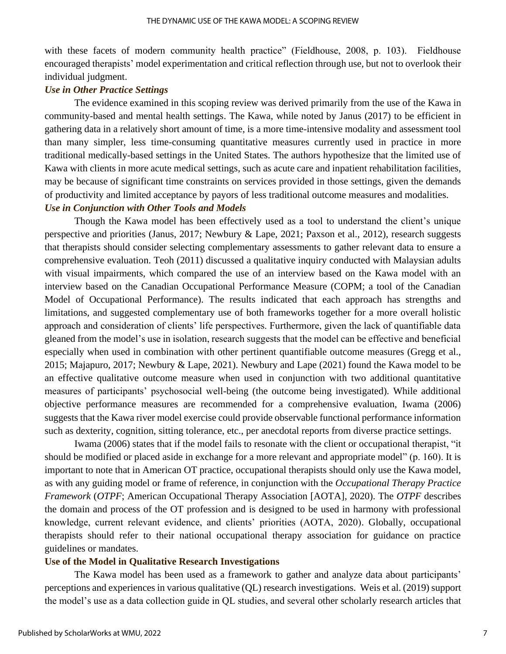with these facets of modern community health practice" (Fieldhouse, 2008, p. 103). Fieldhouse encouraged therapists' model experimentation and critical reflection through use, but not to overlook their individual judgment.

#### *Use in Other Practice Settings*

The evidence examined in this scoping review was derived primarily from the use of the Kawa in community-based and mental health settings. The Kawa, while noted by Janus (2017) to be efficient in gathering data in a relatively short amount of time, is a more time-intensive modality and assessment tool than many simpler, less time-consuming quantitative measures currently used in practice in more traditional medically-based settings in the United States. The authors hypothesize that the limited use of Kawa with clients in more acute medical settings, such as acute care and inpatient rehabilitation facilities, may be because of significant time constraints on services provided in those settings, given the demands of productivity and limited acceptance by payors of less traditional outcome measures and modalities. *Use in Conjunction with Other Tools and Models*

Though the Kawa model has been effectively used as a tool to understand the client's unique perspective and priorities (Janus, 2017; Newbury & Lape, 2021; Paxson et al., 2012), research suggests that therapists should consider selecting complementary assessments to gather relevant data to ensure a comprehensive evaluation. Teoh (2011) discussed a qualitative inquiry conducted with Malaysian adults with visual impairments, which compared the use of an interview based on the Kawa model with an interview based on the Canadian Occupational Performance Measure (COPM; a tool of the Canadian Model of Occupational Performance). The results indicated that each approach has strengths and limitations, and suggested complementary use of both frameworks together for a more overall holistic approach and consideration of clients' life perspectives. Furthermore, given the lack of quantifiable data gleaned from the model's use in isolation, research suggests that the model can be effective and beneficial especially when used in combination with other pertinent quantifiable outcome measures (Gregg et al., 2015; Majapuro, 2017; Newbury & Lape, 2021). Newbury and Lape (2021) found the Kawa model to be an effective qualitative outcome measure when used in conjunction with two additional quantitative measures of participants' psychosocial well-being (the outcome being investigated). While additional objective performance measures are recommended for a comprehensive evaluation, Iwama (2006) suggests that the Kawa river model exercise could provide observable functional performance information such as dexterity, cognition, sitting tolerance, etc., per anecdotal reports from diverse practice settings.

Iwama (2006) states that if the model fails to resonate with the client or occupational therapist, "it should be modified or placed aside in exchange for a more relevant and appropriate model" (p. 160). It is important to note that in American OT practice, occupational therapists should only use the Kawa model, as with any guiding model or frame of reference, in conjunction with the *Occupational Therapy Practice Framework* (*OTPF*; American Occupational Therapy Association [AOTA], 2020). The *OTPF* describes the domain and process of the OT profession and is designed to be used in harmony with professional knowledge, current relevant evidence, and clients' priorities (AOTA, 2020). Globally, occupational therapists should refer to their national occupational therapy association for guidance on practice guidelines or mandates.

#### **Use of the Model in Qualitative Research Investigations**

The Kawa model has been used as a framework to gather and analyze data about participants' perceptions and experiences in various qualitative (QL) research investigations. Weis et al. (2019) support the model's use as a data collection guide in QL studies, and several other scholarly research articles that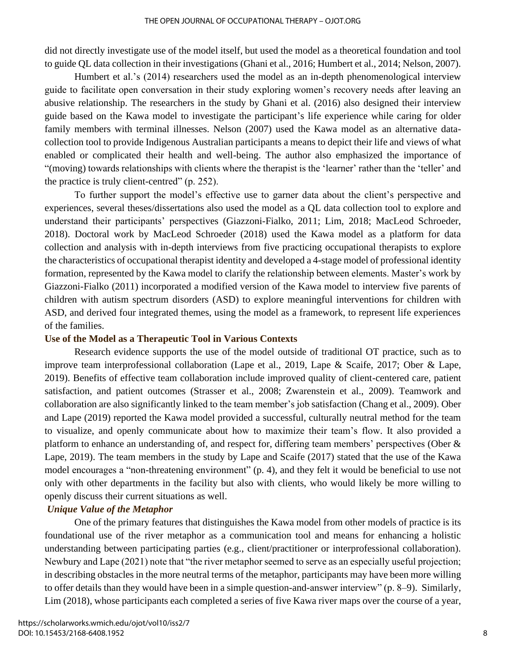did not directly investigate use of the model itself, but used the model as a theoretical foundation and tool to guide QL data collection in their investigations (Ghani et al., 2016; Humbert et al., 2014; Nelson, 2007).

Humbert et al.'s (2014) researchers used the model as an in-depth phenomenological interview guide to facilitate open conversation in their study exploring women's recovery needs after leaving an abusive relationship. The researchers in the study by Ghani et al. (2016) also designed their interview guide based on the Kawa model to investigate the participant's life experience while caring for older family members with terminal illnesses. Nelson (2007) used the Kawa model as an alternative datacollection tool to provide Indigenous Australian participants a means to depict their life and views of what enabled or complicated their health and well-being. The author also emphasized the importance of "(moving) towards relationships with clients where the therapist is the 'learner' rather than the 'teller' and the practice is truly client-centred" (p. 252).

To further support the model's effective use to garner data about the client's perspective and experiences, several theses/dissertations also used the model as a QL data collection tool to explore and understand their participants' perspectives (Giazzoni-Fialko, 2011; Lim, 2018; MacLeod Schroeder, 2018). Doctoral work by MacLeod Schroeder (2018) used the Kawa model as a platform for data collection and analysis with in-depth interviews from five practicing occupational therapists to explore the characteristics of occupational therapist identity and developed a 4-stage model of professional identity formation, represented by the Kawa model to clarify the relationship between elements. Master's work by Giazzoni-Fialko (2011) incorporated a modified version of the Kawa model to interview five parents of children with autism spectrum disorders (ASD) to explore meaningful interventions for children with ASD, and derived four integrated themes, using the model as a framework, to represent life experiences of the families.

#### **Use of the Model as a Therapeutic Tool in Various Contexts**

Research evidence supports the use of the model outside of traditional OT practice, such as to improve team interprofessional collaboration (Lape et al., 2019, Lape & Scaife, 2017; Ober & Lape, 2019). Benefits of effective team collaboration include improved quality of client-centered care, patient satisfaction, and patient outcomes (Strasser et al., 2008; Zwarenstein et al., 2009). Teamwork and collaboration are also significantly linked to the team member's job satisfaction (Chang et al., 2009). Ober and Lape (2019) reported the Kawa model provided a successful, culturally neutral method for the team to visualize, and openly communicate about how to maximize their team's flow. It also provided a platform to enhance an understanding of, and respect for, differing team members' perspectives (Ober & Lape, 2019). The team members in the study by Lape and Scaife (2017) stated that the use of the Kawa model encourages a "non-threatening environment" (p. 4), and they felt it would be beneficial to use not only with other departments in the facility but also with clients, who would likely be more willing to openly discuss their current situations as well.

## *Unique Value of the Metaphor*

One of the primary features that distinguishes the Kawa model from other models of practice is its foundational use of the river metaphor as a communication tool and means for enhancing a holistic understanding between participating parties (e.g., client/practitioner or interprofessional collaboration). Newbury and Lape (2021) note that "the river metaphor seemed to serve as an especially useful projection; in describing obstacles in the more neutral terms of the metaphor, participants may have been more willing to offer details than they would have been in a simple question-and-answer interview" (p. 8–9). Similarly, Lim (2018), whose participants each completed a series of five Kawa river maps over the course of a year,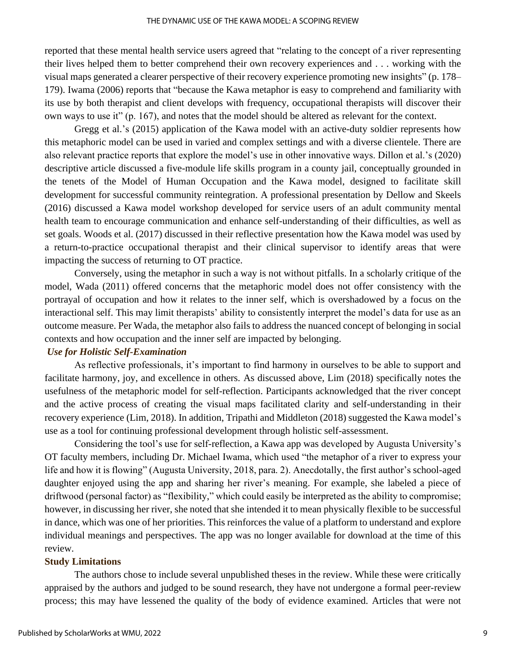reported that these mental health service users agreed that "relating to the concept of a river representing their lives helped them to better comprehend their own recovery experiences and . . . working with the visual maps generated a clearer perspective of their recovery experience promoting new insights" (p. 178– 179). Iwama (2006) reports that "because the Kawa metaphor is easy to comprehend and familiarity with its use by both therapist and client develops with frequency, occupational therapists will discover their own ways to use it" (p. 167), and notes that the model should be altered as relevant for the context.

Gregg et al.'s (2015) application of the Kawa model with an active-duty soldier represents how this metaphoric model can be used in varied and complex settings and with a diverse clientele. There are also relevant practice reports that explore the model's use in other innovative ways. Dillon et al.'s (2020) descriptive article discussed a five-module life skills program in a county jail, conceptually grounded in the tenets of the Model of Human Occupation and the Kawa model, designed to facilitate skill development for successful community reintegration. A professional presentation by Dellow and Skeels (2016) discussed a Kawa model workshop developed for service users of an adult community mental health team to encourage communication and enhance self-understanding of their difficulties, as well as set goals. Woods et al. (2017) discussed in their reflective presentation how the Kawa model was used by a return-to-practice occupational therapist and their clinical supervisor to identify areas that were impacting the success of returning to OT practice.

Conversely, using the metaphor in such a way is not without pitfalls. In a scholarly critique of the model, Wada (2011) offered concerns that the metaphoric model does not offer consistency with the portrayal of occupation and how it relates to the inner self, which is overshadowed by a focus on the interactional self. This may limit therapists' ability to consistently interpret the model's data for use as an outcome measure. Per Wada, the metaphor also fails to address the nuanced concept of belonging in social contexts and how occupation and the inner self are impacted by belonging.

## *Use for Holistic Self-Examination*

As reflective professionals, it's important to find harmony in ourselves to be able to support and facilitate harmony, joy, and excellence in others. As discussed above, Lim (2018) specifically notes the usefulness of the metaphoric model for self-reflection. Participants acknowledged that the river concept and the active process of creating the visual maps facilitated clarity and self-understanding in their recovery experience (Lim, 2018). In addition, Tripathi and Middleton (2018) suggested the Kawa model's use as a tool for continuing professional development through holistic self-assessment.

Considering the tool's use for self-reflection, a Kawa app was developed by Augusta University's OT faculty members, including Dr. Michael Iwama, which used "the metaphor of a river to express your life and how it is flowing" (Augusta University, 2018, para. 2). Anecdotally, the first author's school-aged daughter enjoyed using the app and sharing her river's meaning. For example, she labeled a piece of driftwood (personal factor) as "flexibility," which could easily be interpreted as the ability to compromise; however, in discussing her river, she noted that she intended it to mean physically flexible to be successful in dance, which was one of her priorities. This reinforces the value of a platform to understand and explore individual meanings and perspectives. The app was no longer available for download at the time of this review.

#### **Study Limitations**

The authors chose to include several unpublished theses in the review. While these were critically appraised by the authors and judged to be sound research, they have not undergone a formal peer-review process; this may have lessened the quality of the body of evidence examined. Articles that were not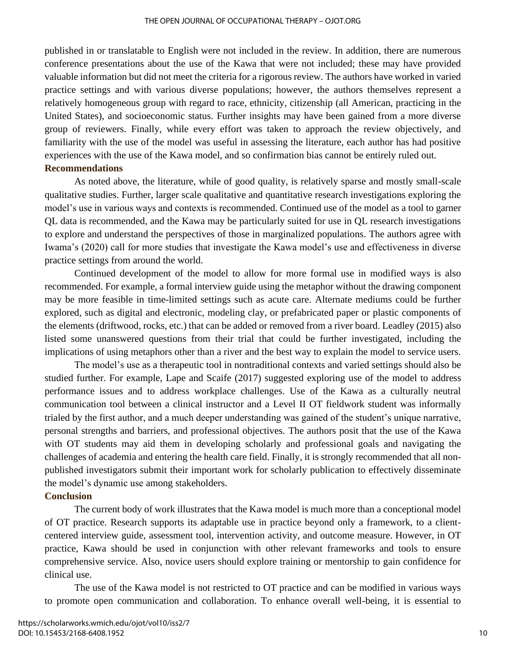published in or translatable to English were not included in the review. In addition, there are numerous conference presentations about the use of the Kawa that were not included; these may have provided valuable information but did not meet the criteria for a rigorous review. The authors have worked in varied practice settings and with various diverse populations; however, the authors themselves represent a relatively homogeneous group with regard to race, ethnicity, citizenship (all American, practicing in the United States), and socioeconomic status. Further insights may have been gained from a more diverse group of reviewers. Finally, while every effort was taken to approach the review objectively, and familiarity with the use of the model was useful in assessing the literature, each author has had positive experiences with the use of the Kawa model, and so confirmation bias cannot be entirely ruled out.

### **Recommendations**

As noted above, the literature, while of good quality, is relatively sparse and mostly small-scale qualitative studies. Further, larger scale qualitative and quantitative research investigations exploring the model's use in various ways and contexts is recommended. Continued use of the model as a tool to garner QL data is recommended, and the Kawa may be particularly suited for use in QL research investigations to explore and understand the perspectives of those in marginalized populations. The authors agree with Iwama's (2020) call for more studies that investigate the Kawa model's use and effectiveness in diverse practice settings from around the world.

Continued development of the model to allow for more formal use in modified ways is also recommended. For example, a formal interview guide using the metaphor without the drawing component may be more feasible in time-limited settings such as acute care. Alternate mediums could be further explored, such as digital and electronic, modeling clay, or prefabricated paper or plastic components of the elements (driftwood, rocks, etc.) that can be added or removed from a river board. Leadley (2015) also listed some unanswered questions from their trial that could be further investigated, including the implications of using metaphors other than a river and the best way to explain the model to service users.

The model's use as a therapeutic tool in nontraditional contexts and varied settings should also be studied further. For example, Lape and Scaife (2017) suggested exploring use of the model to address performance issues and to address workplace challenges. Use of the Kawa as a culturally neutral communication tool between a clinical instructor and a Level II OT fieldwork student was informally trialed by the first author, and a much deeper understanding was gained of the student's unique narrative, personal strengths and barriers, and professional objectives. The authors posit that the use of the Kawa with OT students may aid them in developing scholarly and professional goals and navigating the challenges of academia and entering the health care field. Finally, it is strongly recommended that all nonpublished investigators submit their important work for scholarly publication to effectively disseminate the model's dynamic use among stakeholders.

## **Conclusion**

The current body of work illustrates that the Kawa model is much more than a conceptional model of OT practice. Research supports its adaptable use in practice beyond only a framework, to a clientcentered interview guide, assessment tool, intervention activity, and outcome measure. However, in OT practice, Kawa should be used in conjunction with other relevant frameworks and tools to ensure comprehensive service. Also, novice users should explore training or mentorship to gain confidence for clinical use.

The use of the Kawa model is not restricted to OT practice and can be modified in various ways to promote open communication and collaboration. To enhance overall well-being, it is essential to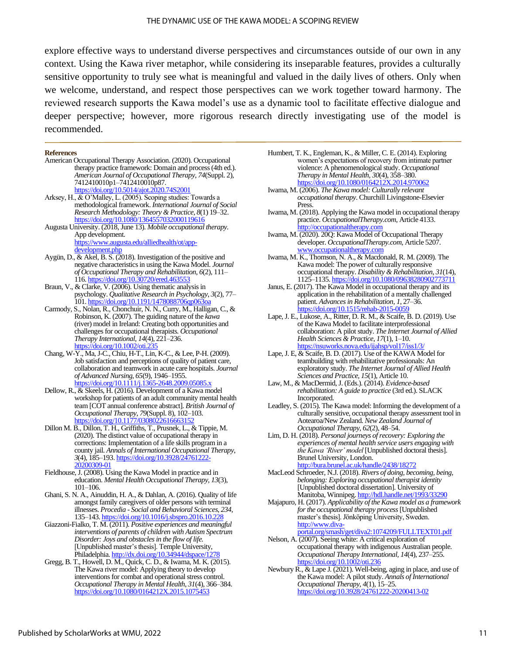explore effective ways to understand diverse perspectives and circumstances outside of our own in any context. Using the Kawa river metaphor, while considering its inseparable features, provides a culturally sensitive opportunity to truly see what is meaningful and valued in the daily lives of others. Only when we welcome, understand, and respect those perspectives can we work together toward harmony. The reviewed research supports the Kawa model's use as a dynamic tool to facilitate effective dialogue and deeper perspective; however, more rigorous research directly investigating use of the model is recommended.

#### **References**

 $\overline{a}$ 

- American Occupational Therapy Association. (2020). Occupational therapy practice framework: Domain and process (4th ed.). *American Journal of Occupational Therapy*, *74*(Suppl. 2), 7412410010p1–7412410010p87. <https://doi.org/10.5014/ajot.2020.74S2001>
- Arksey, H., & O'Malley, L. (2005). Scoping studies: Towards a methodological framework. *International Journal of Social Research Methodology: Theory & Practice*, *8*(1) 19–32. <https://doi.org/10.1080/1364557032000119616>
- Augusta University. (2018, June 13). *Mobile occupational therapy.* App development. [https://www.augusta.edu/alliedhealth/ot/app-](https://www.augusta.edu/alliedhealth/ot/app-development.php)

[development.php](https://www.augusta.edu/alliedhealth/ot/app-development.php)

- Aygün, D., & Akel, B. S. (2018). Investigation of the positive and negative characteristics in using the Kawa Model. *Journal of Occupational Therapy and Rehabilitation*, *6*(2), 111– 116[. https://doi.org/10.30720/ered.463553](https://doi.org/10.30720/ered.463553)
- Braun, V., & Clarke, V. (2006). Using thematic analysis in psychology. *Qualitative Research in Psychology*, *3*(2), 77– 101[. https://doi.org/10.1191/1478088706qp063oa](https://doi.org/10.1191/1478088706qp063oa)
- Carmody, S., Nolan, R., Chonchuir, N. N., Curry, M., Halligan, C., & Robinson, K. (2007). The guiding nature of the *kawa* (river) model in Ireland: Creating both opportunities and challenges for occupational therapists. *Occupational Therapy International*, *14*(4), 221–236. https://doi.org/10.1002/o
- Chang, W-Y., Ma, J-C., Chiu, H-T., Lin, K-C., & Lee, P-H. (2009). Job satisfaction and perceptions of quality of patient care, collaboration and teamwork in acute care hospitals. *Journal of Advanced Nursing*, *65*(9), 1946–1955. https://doi.org/10.1111/j.1365-2648.2009.05085.x
- Dellow, R., & Skeels, H. (2016). Development of a Kawa model workshop for patients of an adult community mental health team [COT annual conference abstract]. *British Journal of Occupational Therapy*, *79*(Suppl. 8), 102–103. <https://doi.org/10.1177/0308022616663152>
- Dillon M. B., Dillon, T. H., Griffiths, T., Prusnek, L., & Tippie, M. (2020). The distinct value of occupational therapy in corrections: Implementation of a life skills program in a county jail. *Annals of International Occupational Therapy*, *3*(4), 185–193[. https://doi.org/10.3928/24761222-](https://doi.org/10.3928/24761222-20200309-01) [20200309-01](https://doi.org/10.3928/24761222-20200309-01)
- Fieldhouse, J. (2008). Using the Kawa Model in practice and in education. *Mental Health Occupational Therapy*, *13*(3), 101–106.
- Ghani, S. N. A., Ainuddin, H. A., & Dahlan, A. (2016). Quality of life amongst family caregivers of older persons with terminal illnesses. *Procedia - Social and Behavioral Sciences*, *234*, 135–143. <https://doi.org/10.1016/j.sbspro.2016.10.228>
- Giazzoni-Fialko, T. M. (2011). *Positive experiences and meaningful interventions of parents of children with Autism Spectrum Disorder: Joys and obstacles in the flow of life.*  [Unpublished master's thesis]. Temple University, Philadelphia[. http://dx.doi.org/10.34944/dspace/1278](http://dx.doi.org/10.34944/dspace/1278)
- Gregg, B. T., Howell, D. M., Quick, C. D., & Iwama, M. K. (2015). The Kawa river model: Applying theory to develop interventions for combat and operational stress control. *Occupational Therapy in Mental Health*, *31*(4), 366–384. https://doi.org/10.1080/0164212X.2015.10754
- Humbert, T. K., Engleman, K., & Miller, C. E. (2014). Exploring women's expectations of recovery from intimate partner violence: A phenomenological study. *Occupational Therapy in Mental Health*, *30*(4), 358–380. <https://doi.org/10.1080/0164212X.2014.970062>
- Iwama, M. (2006). *The Kawa model: Culturally relevant occupational therapy*. Churchill Livingstone-Elsevier Press.
- Iwama, M. (2018). Applying the Kawa model in occupational therapy practice. *OccupationalTherapy.com*, Article 4133. [http://occupationaltherapy.com](http://occupationaltherapy.com/)
- Iwama, M. (2020). 20Q: Kawa Model of Occupational Therapy developer. *OccupationalTherapy.com,* Article 5207. [www.occupationaltherapy.com](http://www.occupationaltherapy.com/)
- Iwama, M. K., Thomson, N. A., & Macdonald, R. M. (2009). The Kawa model: The power of culturally responsive occupational therapy. *Disability & Rehabilitation*, *31*(14), 1125–1135[. https://doi.org/10.1080/09638280902773711](https://doi.org/10.1080/09638280902773711)
- Janus, E. (2017). The Kawa Model in occupational therapy and its application in the rehabilitation of a mentally challenged patient. *Advances in Rehabilitation*, *1*, 27–36. https://doi.org/10.1515/rehab-2015-005
- Lape, J. E., Lukose, A., Ritter, D. R. M., & Scaife, B. D. (2019). Use of the Kawa Model to facilitate interprofessional collaboration: A pilot study. *The Internet Journal of Allied Health Sciences & Practice*, *17*(1), 1–10. <https://nsuworks.nova.edu/ijahsp/vol17/iss1/3/>
- Lape, J. E, & Scaife, B. D. (2017). Use of the KAWA Model for teambuilding with rehabilitative professionals: An exploratory study. *The Internet Journal of Allied Health Sciences and Practice*, *15*(1), Article 10.
- Law, M., & MacDermid, J. (Eds.). (2014). *Evidence-based rehabilitation: A guide to practice* (3rd ed.). SLACK Incorporated.
- Leadley, S. (2015). The Kawa model: Informing the development of a culturally sensitive, occupational therapy assessment tool in Aotearoa/New Zealand. *New Zealand Journal of Occupational Therapy*, *62*(2), 48–54.
- Lim, D. H. (2018). *Personal journeys of recovery: Exploring the experiences of mental health service users engaging with the Kawa 'River' model* [Unpublished doctoral thesis]. Brunel University, London. <http://bura.brunel.ac.uk/handle/2438/18272>
- MacLeod Schroeder, N.J. (2018). *Rivers of doing, becoming, being, belonging: Exploring occupational therapist identity*  [Unpublished doctoral dissertation]. University of Manitoba, Winnipeg[. http://hdl.handle.net/1993/33290](http://hdl.handle.net/1993/33290)
- Majapuro, H. (2017). *Applicability of the Kawa model as a framework for the occupational therapy process*[Unpublished master's thesis]. Jönköping University, Sweden. [http://www.diva-](http://www.diva-portal.org/smash/get/diva2:1074209/FULLTEXT01.pdf)
- [portal.org/smash/get/diva2:1074209/FULLTEXT01.pdf](http://www.diva-portal.org/smash/get/diva2:1074209/FULLTEXT01.pdf) Nelson, A. (2007). Seeing white: A critical exploration of occupational therapy with indigenous Australian people. *Occupational Therapy International, 14*(4), 237–255. <https://doi.org/10.1002/oti.236>
- Newbury R., & Lape J. (2021). Well-being, aging in place, and use of the Kawa model: A pilot study. *Annals of International Occupational Therapy*, *4*(1), 15–25. <https://doi.org/10.3928/24761222-20200413-02>